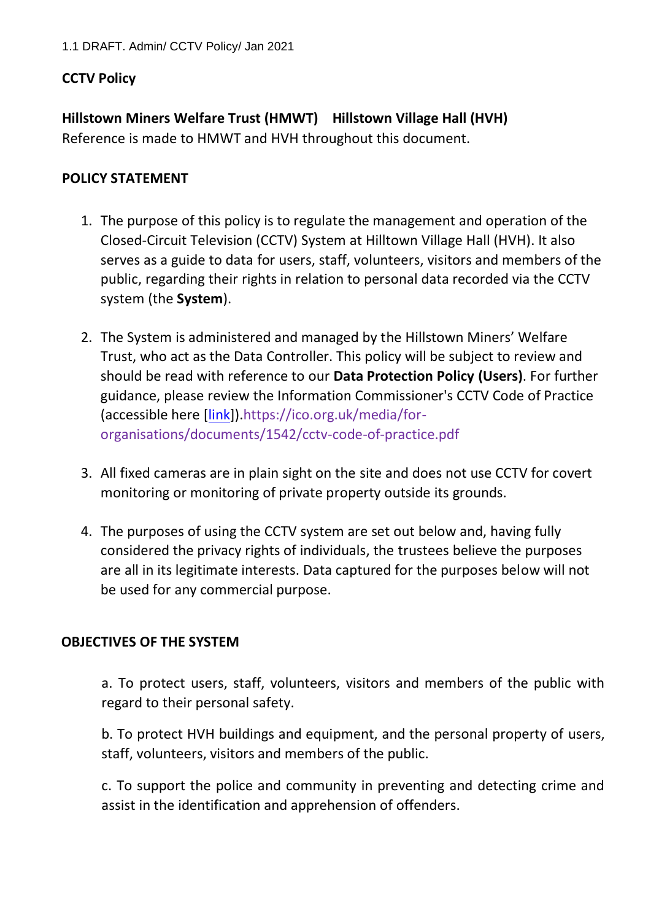## **CCTV Policy**

**Hillstown Miners Welfare Trust (HMWT) Hillstown Village Hall (HVH)** Reference is made to HMWT and HVH throughout this document.

#### **POLICY STATEMENT**

- 1. The purpose of this policy is to regulate the management and operation of the Closed-Circuit Television (CCTV) System at Hilltown Village Hall (HVH). It also serves as a guide to data for users, staff, volunteers, visitors and members of the public, regarding their rights in relation to personal data recorded via the CCTV system (the **System**).
- 2. The System is administered and managed by the Hillstown Miners' Welfare Trust, who act as the Data Controller. This policy will be subject to review and should be read with reference to our **Data Protection Policy (Users)**. For further guidance, please review the Information Commissioner's CCTV Code of Practice (accessible here [\[link\]\)](https://ico.org.uk/media/for-organisations/documents/1542/cctv-code-of-practice.pdf).https://ico.org.uk/media/fororganisations/documents/1542/cctv-code-of-practice.pdf
- 3. All fixed cameras are in plain sight on the site and does not use CCTV for covert monitoring or monitoring of private property outside its grounds.
- 4. The purposes of using the CCTV system are set out below and, having fully considered the privacy rights of individuals, the trustees believe the purposes are all in its legitimate interests. Data captured for the purposes below will not be used for any commercial purpose.

## **OBJECTIVES OF THE SYSTEM**

a. To protect users, staff, volunteers, visitors and members of the public with regard to their personal safety.

b. To protect HVH buildings and equipment, and the personal property of users, staff, volunteers, visitors and members of the public.

c. To support the police and community in preventing and detecting crime and assist in the identification and apprehension of offenders.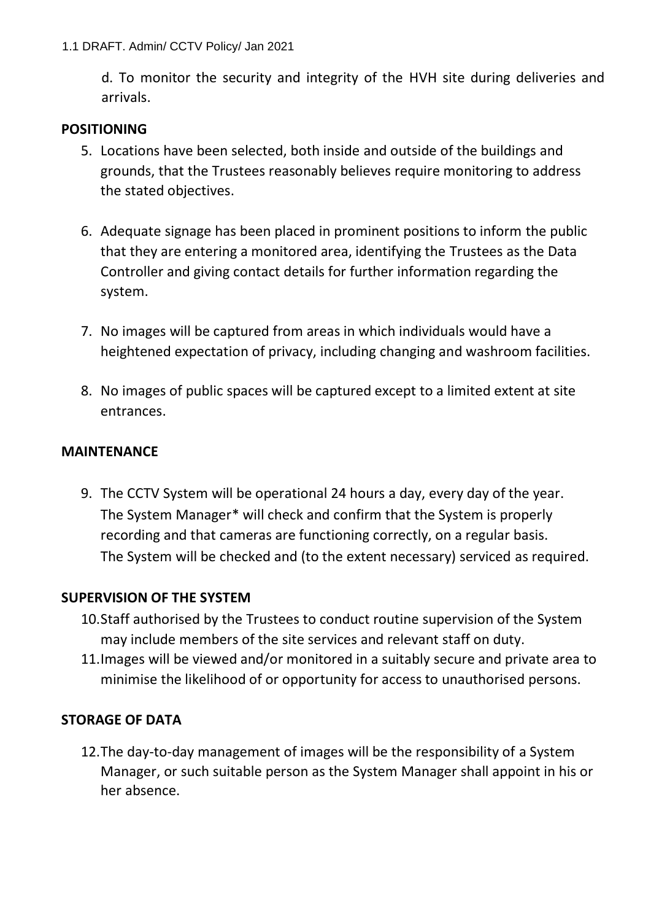d. To monitor the security and integrity of the HVH site during deliveries and arrivals.

## **POSITIONING**

- 5. Locations have been selected, both inside and outside of the buildings and grounds, that the Trustees reasonably believes require monitoring to address the stated objectives.
- 6. Adequate signage has been placed in prominent positions to inform the public that they are entering a monitored area, identifying the Trustees as the Data Controller and giving contact details for further information regarding the system.
- 7. No images will be captured from areas in which individuals would have a heightened expectation of privacy, including changing and washroom facilities.
- 8. No images of public spaces will be captured except to a limited extent at site entrances.

# **MAINTENANCE**

9. The CCTV System will be operational 24 hours a day, every day of the year. The System Manager\* will check and confirm that the System is properly recording and that cameras are functioning correctly, on a regular basis. The System will be checked and (to the extent necessary) serviced as required.

## **SUPERVISION OF THE SYSTEM**

- 10.Staff authorised by the Trustees to conduct routine supervision of the System may include members of the site services and relevant staff on duty.
- 11.Images will be viewed and/or monitored in a suitably secure and private area to minimise the likelihood of or opportunity for access to unauthorised persons.

# **STORAGE OF DATA**

12.The day-to-day management of images will be the responsibility of a System Manager, or such suitable person as the System Manager shall appoint in his or her absence.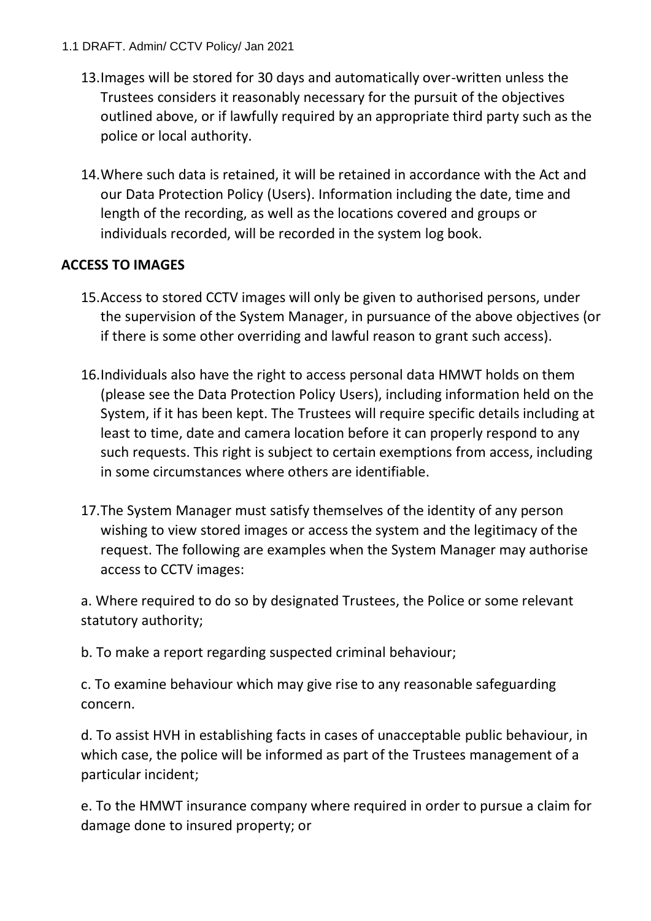#### 1.1 DRAFT. Admin/ CCTV Policy/ Jan 2021

- 13.Images will be stored for 30 days and automatically over-written unless the Trustees considers it reasonably necessary for the pursuit of the objectives outlined above, or if lawfully required by an appropriate third party such as the police or local authority.
- 14.Where such data is retained, it will be retained in accordance with the Act and our Data Protection Policy (Users). Information including the date, time and length of the recording, as well as the locations covered and groups or individuals recorded, will be recorded in the system log book.

# **ACCESS TO IMAGES**

- 15.Access to stored CCTV images will only be given to authorised persons, under the supervision of the System Manager, in pursuance of the above objectives (or if there is some other overriding and lawful reason to grant such access).
- 16.Individuals also have the right to access personal data HMWT holds on them (please see the Data Protection Policy Users), including information held on the System, if it has been kept. The Trustees will require specific details including at least to time, date and camera location before it can properly respond to any such requests. This right is subject to certain exemptions from access, including in some circumstances where others are identifiable.
- 17.The System Manager must satisfy themselves of the identity of any person wishing to view stored images or access the system and the legitimacy of the request. The following are examples when the System Manager may authorise access to CCTV images:

a. Where required to do so by designated Trustees, the Police or some relevant statutory authority;

b. To make a report regarding suspected criminal behaviour;

c. To examine behaviour which may give rise to any reasonable safeguarding concern.

d. To assist HVH in establishing facts in cases of unacceptable public behaviour, in which case, the police will be informed as part of the Trustees management of a particular incident;

e. To the HMWT insurance company where required in order to pursue a claim for damage done to insured property; or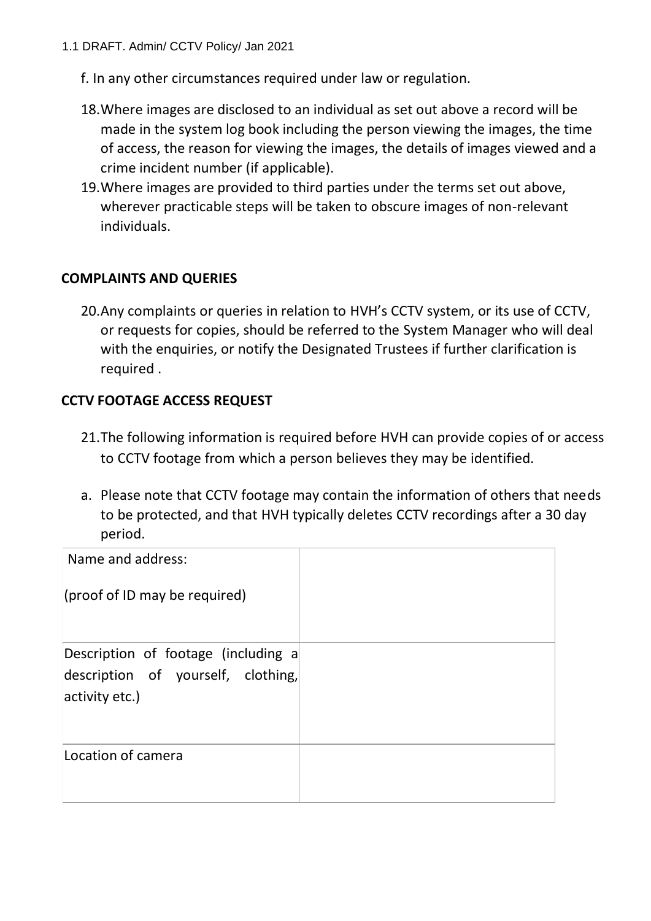- f. In any other circumstances required under law or regulation.
- 18.Where images are disclosed to an individual as set out above a record will be made in the system log book including the person viewing the images, the time of access, the reason for viewing the images, the details of images viewed and a crime incident number (if applicable).
- 19.Where images are provided to third parties under the terms set out above, wherever practicable steps will be taken to obscure images of non-relevant individuals.

## **COMPLAINTS AND QUERIES**

20.Any complaints or queries in relation to HVH's CCTV system, or its use of CCTV, or requests for copies, should be referred to the System Manager who will deal with the enquiries, or notify the Designated Trustees if further clarification is required .

## **CCTV FOOTAGE ACCESS REQUEST**

- 21.The following information is required before HVH can provide copies of or access to CCTV footage from which a person believes they may be identified.
- a. Please note that CCTV footage may contain the information of others that needs to be protected, and that HVH typically deletes CCTV recordings after a 30 day period.

| Name and address:                                                                           |  |
|---------------------------------------------------------------------------------------------|--|
| (proof of ID may be required)                                                               |  |
| Description of footage (including a<br>description of yourself, clothing,<br>activity etc.) |  |
| Location of camera                                                                          |  |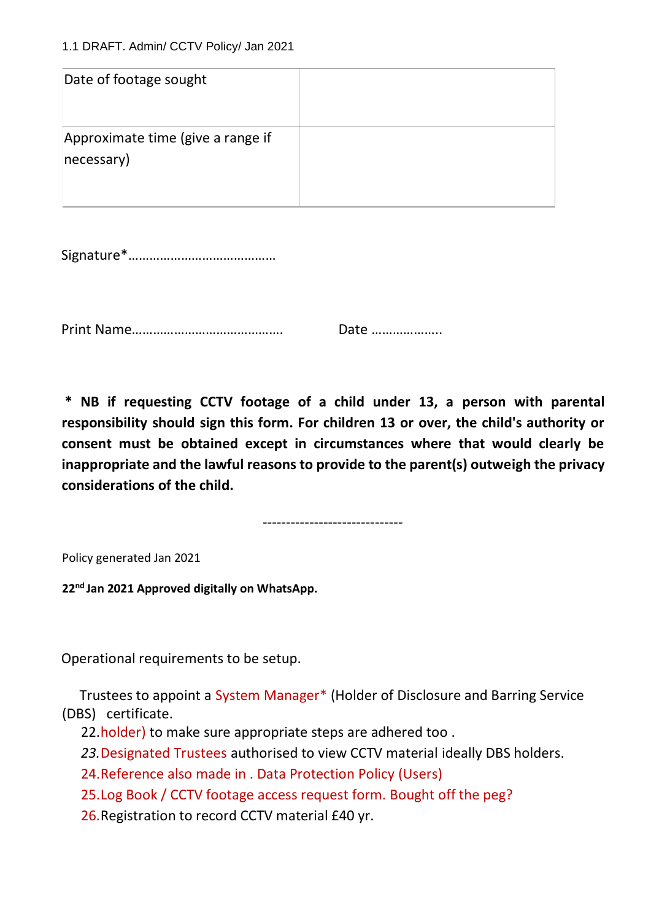| Date of footage sought                          |  |
|-------------------------------------------------|--|
| Approximate time (give a range if<br>necessary) |  |

Signature\*……………………………………

Print Name……………………………………. Date ………………..

**\* NB if requesting CCTV footage of a child under 13, a person with parental responsibility should sign this form. For children 13 or over, the child's authority or consent must be obtained except in circumstances where that would clearly be inappropriate and the lawful reasons to provide to the parent(s) outweigh the privacy considerations of the child.**

------------------------------

Policy generated Jan 2021

**22nd Jan 2021 Approved digitally on WhatsApp.** 

Operational requirements to be setup.

 Trustees to appoint a System Manager\* (Holder of Disclosure and Barring Service (DBS) certificate.

22.holder) to make sure appropriate steps are adhered too.

*23.*Designated Trustees authorised to view CCTV material ideally DBS holders.

24.Reference also made in . Data Protection Policy (Users)

25.Log Book / CCTV footage access request form. Bought off the peg?

26.Registration to record CCTV material £40 yr.